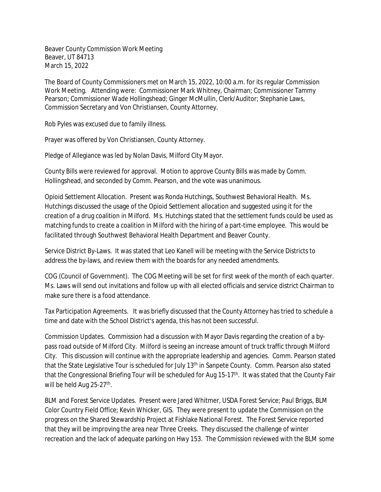Beaver County Commission Work Meeting Beaver, UT 84713 March 15, 2022

The Board of County Commissioners met on March 15, 2022, 10:00 a.m. for its regular Commission Work Meeting. Attending were: Commissioner Mark Whitney, Chairman; Commissioner Tammy Pearson; Commissioner Wade Hollingshead; Ginger McMullin, Clerk/Auditor; Stephanie Laws, Commission Secretary and Von Christiansen, County Attorney.

Rob Pyles was excused due to family illness.

Prayer was offered by Von Christiansen, County Attorney.

Pledge of Allegiance was led by Nolan Davis, Milford City Mayor.

County Bills were reviewed for approval. Motion to approve County Bills was made by Comm. Hollingshead, and seconded by Comm. Pearson, and the vote was unanimous.

Opioid Settlement Allocation. Present was Ronda Hutchings, Southwest Behavioral Health. Ms. Hutchings discussed the usage of the Opioid Settlement allocation and suggested using it for the creation of a drug coalition in Milford. Ms. Hutchings stated that the settlement funds could be used as matching funds to create a coalition in Milford with the hiring of a part-time employee. This would be facilitated through Southwest Behavioral Health Department and Beaver County.

Service District By-Laws. It was stated that Leo Kanell will be meeting with the Service Districts to address the by-laws, and review them with the boards for any needed amendments.

COG (Council of Government). The COG Meeting will be set for first week of the month of each quarter. Ms. Laws will send out invitations and follow up with all elected officials and service district Chairman to make sure there is a food attendance.

Tax Participation Agreements. It was briefly discussed that the County Attorney has tried to schedule a time and date with the School District's agenda, this has not been successful.

Commission Updates. Commission had a discussion with Mayor Davis regarding the creation of a bypass road outside of Milford City. Milford is seeing an increase amount of truck traffic through Milford City. This discussion will continue with the appropriate leadership and agencies. Comm. Pearson stated that the State Legislative Tour is scheduled for July 13<sup>th</sup> in Sanpete County. Comm. Pearson also stated that the Congressional Briefing Tour will be scheduled for Aug 15-17<sup>th</sup>. It was stated that the County Fair will be held Aug 25-27<sup>th</sup>.

BLM and Forest Service Updates. Present were Jared Whitmer, USDA Forest Service; Paul Briggs, BLM Color Country Field Office; Kevin Whicker, GIS. They were present to update the Commission on the progress on the Shared Stewardship Project at Fishlake National Forest. The Forest Service reported that they will be improving the area near Three Creeks. They discussed the challenge of winter recreation and the lack of adequate parking on Hwy 153. The Commission reviewed with the BLM some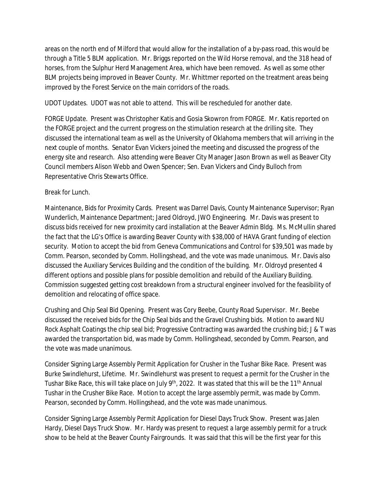areas on the north end of Milford that would allow for the installation of a by-pass road, this would be through a Title 5 BLM application. Mr. Briggs reported on the Wild Horse removal, and the 318 head of horses, from the Sulphur Herd Management Area, which have been removed. As well as some other BLM projects being improved in Beaver County. Mr. Whittmer reported on the treatment areas being improved by the Forest Service on the main corridors of the roads.

UDOT Updates. UDOT was not able to attend. This will be rescheduled for another date.

FORGE Update. Present was Christopher Katis and Gosia Skowron from FORGE. Mr. Katis reported on the FORGE project and the current progress on the stimulation research at the drilling site. They discussed the international team as well as the University of Oklahoma members that will arriving in the next couple of months. Senator Evan Vickers joined the meeting and discussed the progress of the energy site and research. Also attending were Beaver City Manager Jason Brown as well as Beaver City Council members Alison Webb and Owen Spencer; Sen. Evan Vickers and Cindy Bulloch from Representative Chris Stewarts Office.

## Break for Lunch.

Maintenance, Bids for Proximity Cards. Present was Darrel Davis, County Maintenance Supervisor; Ryan Wunderlich, Maintenance Department; Jared Oldroyd, JWO Engineering. Mr. Davis was present to discuss bids received for new proximity card installation at the Beaver Admin Bldg. Ms. McMullin shared the fact that the LG's Office is awarding Beaver County with \$38,000 of HAVA Grant funding of election security. Motion to accept the bid from Geneva Communications and Control for \$39,501 was made by Comm. Pearson, seconded by Comm. Hollingshead, and the vote was made unanimous. Mr. Davis also discussed the Auxiliary Services Building and the condition of the building. Mr. Oldroyd presented 4 different options and possible plans for possible demolition and rebuild of the Auxiliary Building. Commission suggested getting cost breakdown from a structural engineer involved for the feasibility of demolition and relocating of office space.

Crushing and Chip Seal Bid Opening. Present was Cory Beebe, County Road Supervisor. Mr. Beebe discussed the received bids for the Chip Seal bids and the Gravel Crushing bids. Motion to award NU Rock Asphalt Coatings the chip seal bid; Progressive Contracting was awarded the crushing bid; J & T was awarded the transportation bid, was made by Comm. Hollingshead, seconded by Comm. Pearson, and the vote was made unanimous.

Consider Signing Large Assembly Permit Application for Crusher in the Tushar Bike Race. Present was Burke Swindlehurst, Lifetime. Mr. Swindlehurst was present to request a permit for the Crusher in the Tushar Bike Race, this will take place on July 9<sup>th</sup>, 2022. It was stated that this will be the 11<sup>th</sup> Annual Tushar in the Crusher Bike Race. Motion to accept the large assembly permit, was made by Comm. Pearson, seconded by Comm. Hollingshead, and the vote was made unanimous.

Consider Signing Large Assembly Permit Application for Diesel Days Truck Show. Present was Jalen Hardy, Diesel Days Truck Show. Mr. Hardy was present to request a large assembly permit for a truck show to be held at the Beaver County Fairgrounds. It was said that this will be the first year for this